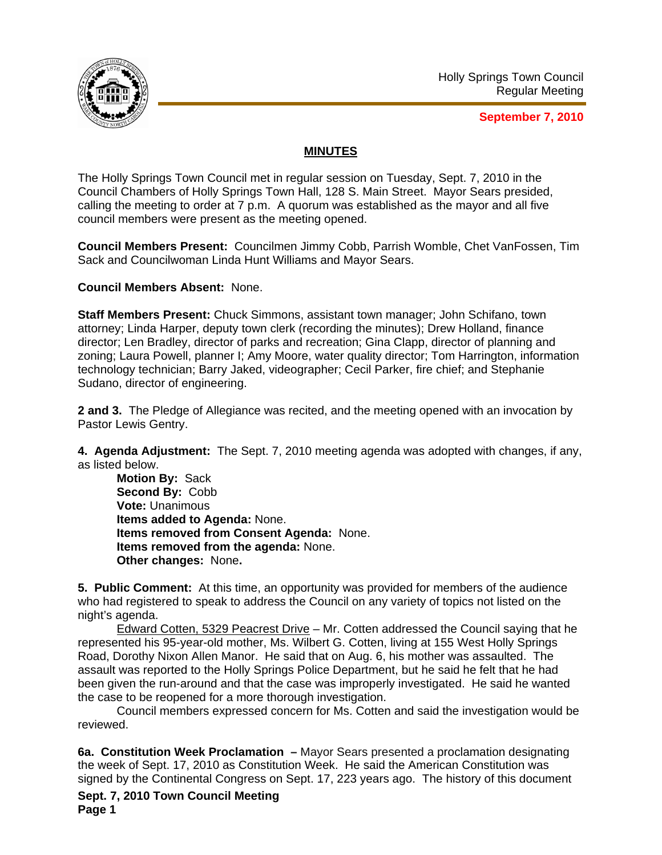

**September 7, 2010**

## **MINUTES**

The Holly Springs Town Council met in regular session on Tuesday, Sept. 7, 2010 in the Council Chambers of Holly Springs Town Hall, 128 S. Main Street. Mayor Sears presided, calling the meeting to order at 7 p.m. A quorum was established as the mayor and all five council members were present as the meeting opened.

**Council Members Present:** Councilmen Jimmy Cobb, Parrish Womble, Chet VanFossen, Tim Sack and Councilwoman Linda Hunt Williams and Mayor Sears.

## **Council Members Absent:** None.

**Staff Members Present:** Chuck Simmons, assistant town manager; John Schifano, town attorney; Linda Harper, deputy town clerk (recording the minutes); Drew Holland, finance director; Len Bradley, director of parks and recreation; Gina Clapp, director of planning and zoning; Laura Powell, planner I; Amy Moore, water quality director; Tom Harrington, information technology technician; Barry Jaked, videographer; Cecil Parker, fire chief; and Stephanie Sudano, director of engineering.

**2 and 3.** The Pledge of Allegiance was recited, and the meeting opened with an invocation by Pastor Lewis Gentry.

**4. Agenda Adjustment:** The Sept. 7, 2010 meeting agenda was adopted with changes, if any, as listed below.

**Motion By:** Sack **Second By:** Cobb **Vote:** Unanimous **Items added to Agenda:** None. **Items removed from Consent Agenda:** None. **Items removed from the agenda:** None. **Other changes:** None**.** 

**5. Public Comment:** At this time, an opportunity was provided for members of the audience who had registered to speak to address the Council on any variety of topics not listed on the night's agenda.

Edward Cotten, 5329 Peacrest Drive – Mr. Cotten addressed the Council saying that he represented his 95-year-old mother, Ms. Wilbert G. Cotten, living at 155 West Holly Springs Road, Dorothy Nixon Allen Manor. He said that on Aug. 6, his mother was assaulted. The assault was reported to the Holly Springs Police Department, but he said he felt that he had been given the run-around and that the case was improperly investigated. He said he wanted the case to be reopened for a more thorough investigation.

 Council members expressed concern for Ms. Cotten and said the investigation would be reviewed.

**6a. Constitution Week Proclamation –** Mayor Sears presented a proclamation designating the week of Sept. 17, 2010 as Constitution Week. He said the American Constitution was signed by the Continental Congress on Sept. 17, 223 years ago. The history of this document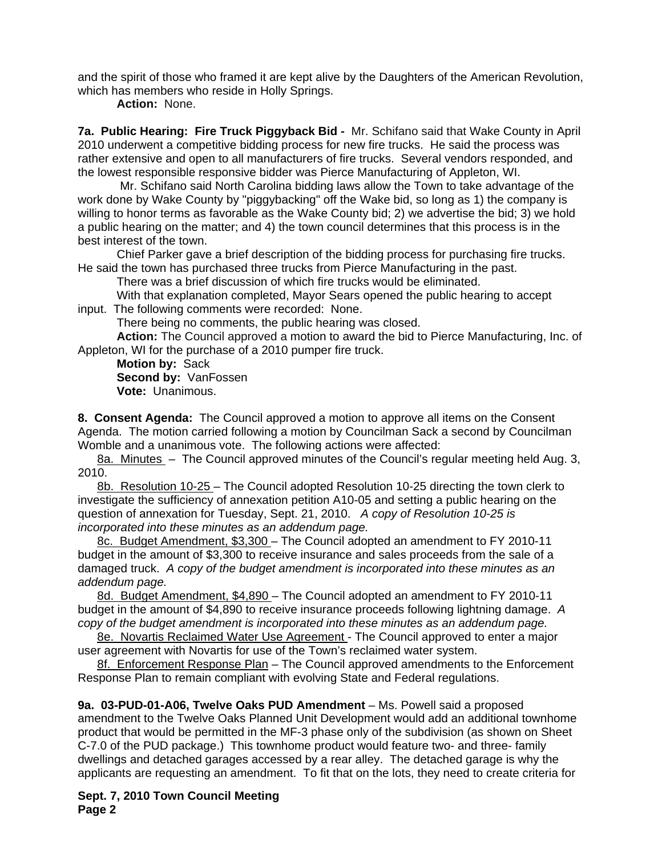and the spirit of those who framed it are kept alive by the Daughters of the American Revolution, which has members who reside in Holly Springs.

**Action:** None.

**7a. Public Hearing: Fire Truck Piggyback Bid -** Mr. Schifano said that Wake County in April 2010 underwent a competitive bidding process for new fire trucks. He said the process was rather extensive and open to all manufacturers of fire trucks. Several vendors responded, and the lowest responsible responsive bidder was Pierce Manufacturing of Appleton, WI.

 Mr. Schifano said North Carolina bidding laws allow the Town to take advantage of the work done by Wake County by "piggybacking" off the Wake bid, so long as 1) the company is willing to honor terms as favorable as the Wake County bid; 2) we advertise the bid; 3) we hold a public hearing on the matter; and 4) the town council determines that this process is in the best interest of the town.

Chief Parker gave a brief description of the bidding process for purchasing fire trucks. He said the town has purchased three trucks from Pierce Manufacturing in the past.

There was a brief discussion of which fire trucks would be eliminated.

With that explanation completed, Mayor Sears opened the public hearing to accept input. The following comments were recorded: None.

There being no comments, the public hearing was closed.

 **Action:** The Council approved a motion to award the bid to Pierce Manufacturing, Inc. of Appleton, WI for the purchase of a 2010 pumper fire truck.

**Motion by:** Sack **Second by:** VanFossen **Vote:** Unanimous.

**8. Consent Agenda:** The Council approved a motion to approve all items on the Consent Agenda. The motion carried following a motion by Councilman Sack a second by Councilman Womble and a unanimous vote. The following actions were affected:

8a. Minutes – The Council approved minutes of the Council's regular meeting held Aug. 3, 2010.

8b. Resolution 10-25 – The Council adopted Resolution 10-25 directing the town clerk to investigate the sufficiency of annexation petition A10-05 and setting a public hearing on the question of annexation for Tuesday, Sept. 21, 2010.*A copy of Resolution 10-25 is incorporated into these minutes as an addendum page.* 

8c. Budget Amendment, \$3,300 – The Council adopted an amendment to FY 2010-11 budget in the amount of \$3,300 to receive insurance and sales proceeds from the sale of a damaged truck.*A copy of the budget amendment is incorporated into these minutes as an addendum page.* 

8d. Budget Amendment, \$4,890 – The Council adopted an amendment to FY 2010-11 budget in the amount of \$4,890 to receive insurance proceeds following lightning damage.*A copy of the budget amendment is incorporated into these minutes as an addendum page.*

8e. Novartis Reclaimed Water Use Agreement - The Council approved to enter a major user agreement with Novartis for use of the Town's reclaimed water system.

8f. Enforcement Response Plan - The Council approved amendments to the Enforcement Response Plan to remain compliant with evolving State and Federal regulations.

**9a. 03-PUD-01-A06, Twelve Oaks PUD Amendment** – Ms. Powell said a proposed amendment to the Twelve Oaks Planned Unit Development would add an additional townhome product that would be permitted in the MF-3 phase only of the subdivision (as shown on Sheet C-7.0 of the PUD package.) This townhome product would feature two- and three- family dwellings and detached garages accessed by a rear alley. The detached garage is why the applicants are requesting an amendment. To fit that on the lots, they need to create criteria for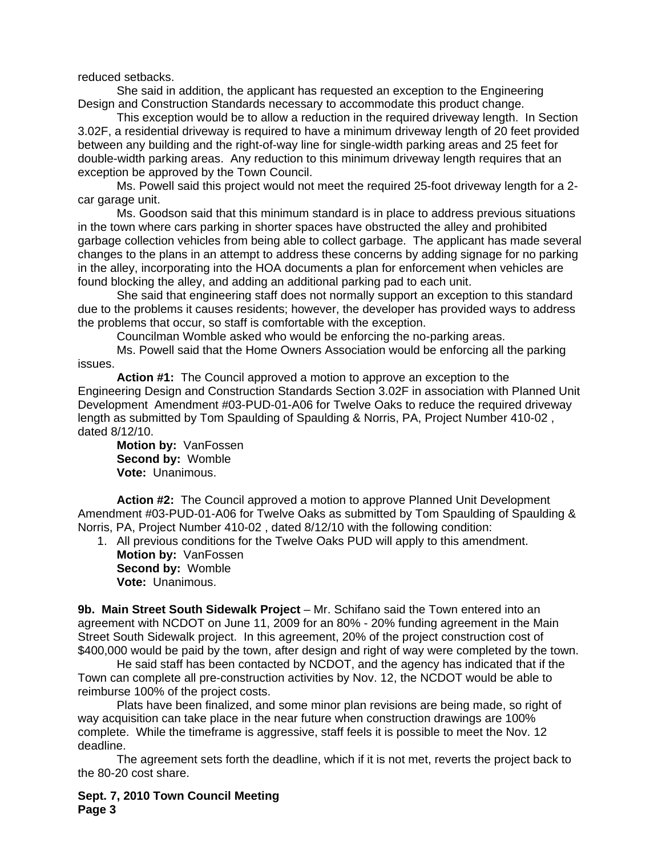reduced setbacks.

 She said in addition, the applicant has requested an exception to the Engineering Design and Construction Standards necessary to accommodate this product change.

 This exception would be to allow a reduction in the required driveway length. In Section 3.02F, a residential driveway is required to have a minimum driveway length of 20 feet provided between any building and the right-of-way line for single-width parking areas and 25 feet for double-width parking areas. Any reduction to this minimum driveway length requires that an exception be approved by the Town Council.

 Ms. Powell said this project would not meet the required 25-foot driveway length for a 2 car garage unit.

 Ms. Goodson said that this minimum standard is in place to address previous situations in the town where cars parking in shorter spaces have obstructed the alley and prohibited garbage collection vehicles from being able to collect garbage. The applicant has made several changes to the plans in an attempt to address these concerns by adding signage for no parking in the alley, incorporating into the HOA documents a plan for enforcement when vehicles are found blocking the alley, and adding an additional parking pad to each unit.

 She said that engineering staff does not normally support an exception to this standard due to the problems it causes residents; however, the developer has provided ways to address the problems that occur, so staff is comfortable with the exception.

Councilman Womble asked who would be enforcing the no-parking areas.

Ms. Powell said that the Home Owners Association would be enforcing all the parking issues.

**Action #1:** The Council approved a motion to approve an exception to the Engineering Design and Construction Standards Section 3.02F in association with Planned Unit Development Amendment #03-PUD-01-A06 for Twelve Oaks to reduce the required driveway length as submitted by Tom Spaulding of Spaulding & Norris, PA, Project Number 410-02 , dated 8/12/10.

**Motion by:** VanFossen **Second by:** Womble **Vote:** Unanimous.

**Action #2:** The Council approved a motion to approve Planned Unit Development Amendment #03-PUD-01-A06 for Twelve Oaks as submitted by Tom Spaulding of Spaulding & Norris, PA, Project Number 410-02 , dated 8/12/10 with the following condition:

1. All previous conditions for the Twelve Oaks PUD will apply to this amendment.

**Motion by:** VanFossen **Second by:** Womble **Vote:** Unanimous.

**9b. Main Street South Sidewalk Project** – Mr. Schifano said the Town entered into an agreement with NCDOT on June 11, 2009 for an 80% - 20% funding agreement in the Main Street South Sidewalk project. In this agreement, 20% of the project construction cost of \$400,000 would be paid by the town, after design and right of way were completed by the town.

 He said staff has been contacted by NCDOT, and the agency has indicated that if the Town can complete all pre-construction activities by Nov. 12, the NCDOT would be able to reimburse 100% of the project costs.

 Plats have been finalized, and some minor plan revisions are being made, so right of way acquisition can take place in the near future when construction drawings are 100% complete. While the timeframe is aggressive, staff feels it is possible to meet the Nov. 12 deadline.

 The agreement sets forth the deadline, which if it is not met, reverts the project back to the 80-20 cost share.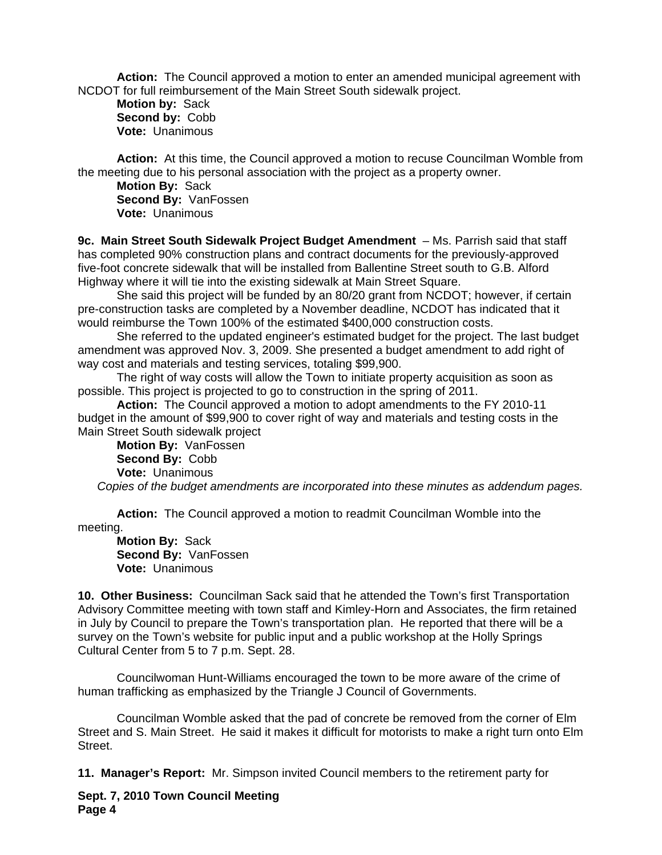**Action:** The Council approved a motion to enter an amended municipal agreement with NCDOT for full reimbursement of the Main Street South sidewalk project.

**Motion by:** Sack **Second by:** Cobb **Vote:** Unanimous

**Action:** At this time, the Council approved a motion to recuse Councilman Womble from the meeting due to his personal association with the project as a property owner.

**Motion By:** Sack **Second By:** VanFossen **Vote:** Unanimous

**9c. Main Street South Sidewalk Project Budget Amendment** – Ms. Parrish said that staff has completed 90% construction plans and contract documents for the previously-approved five-foot concrete sidewalk that will be installed from Ballentine Street south to G.B. Alford Highway where it will tie into the existing sidewalk at Main Street Square.

 She said this project will be funded by an 80/20 grant from NCDOT; however, if certain pre-construction tasks are completed by a November deadline, NCDOT has indicated that it would reimburse the Town 100% of the estimated \$400,000 construction costs.

 She referred to the updated engineer's estimated budget for the project. The last budget amendment was approved Nov. 3, 2009. She presented a budget amendment to add right of way cost and materials and testing services, totaling \$99,900.

 The right of way costs will allow the Town to initiate property acquisition as soon as possible. This project is projected to go to construction in the spring of 2011.

**Action:** The Council approved a motion to adopt amendments to the FY 2010-11 budget in the amount of \$99,900 to cover right of way and materials and testing costs in the Main Street South sidewalk project

**Motion By:** VanFossen **Second By:** Cobb **Vote:** Unanimous *Copies of the budget amendments are incorporated into these minutes as addendum pages.*

**Action:** The Council approved a motion to readmit Councilman Womble into the meeting.

**Motion By:** Sack **Second By:** VanFossen **Vote:** Unanimous

**10. Other Business:** Councilman Sack said that he attended the Town's first Transportation Advisory Committee meeting with town staff and Kimley-Horn and Associates, the firm retained in July by Council to prepare the Town's transportation plan. He reported that there will be a survey on the Town's website for public input and a public workshop at the Holly Springs Cultural Center from 5 to 7 p.m. Sept. 28.

Councilwoman Hunt-Williams encouraged the town to be more aware of the crime of human trafficking as emphasized by the Triangle J Council of Governments.

Councilman Womble asked that the pad of concrete be removed from the corner of Elm Street and S. Main Street. He said it makes it difficult for motorists to make a right turn onto Elm Street.

**11. Manager's Report:** Mr. Simpson invited Council members to the retirement party for